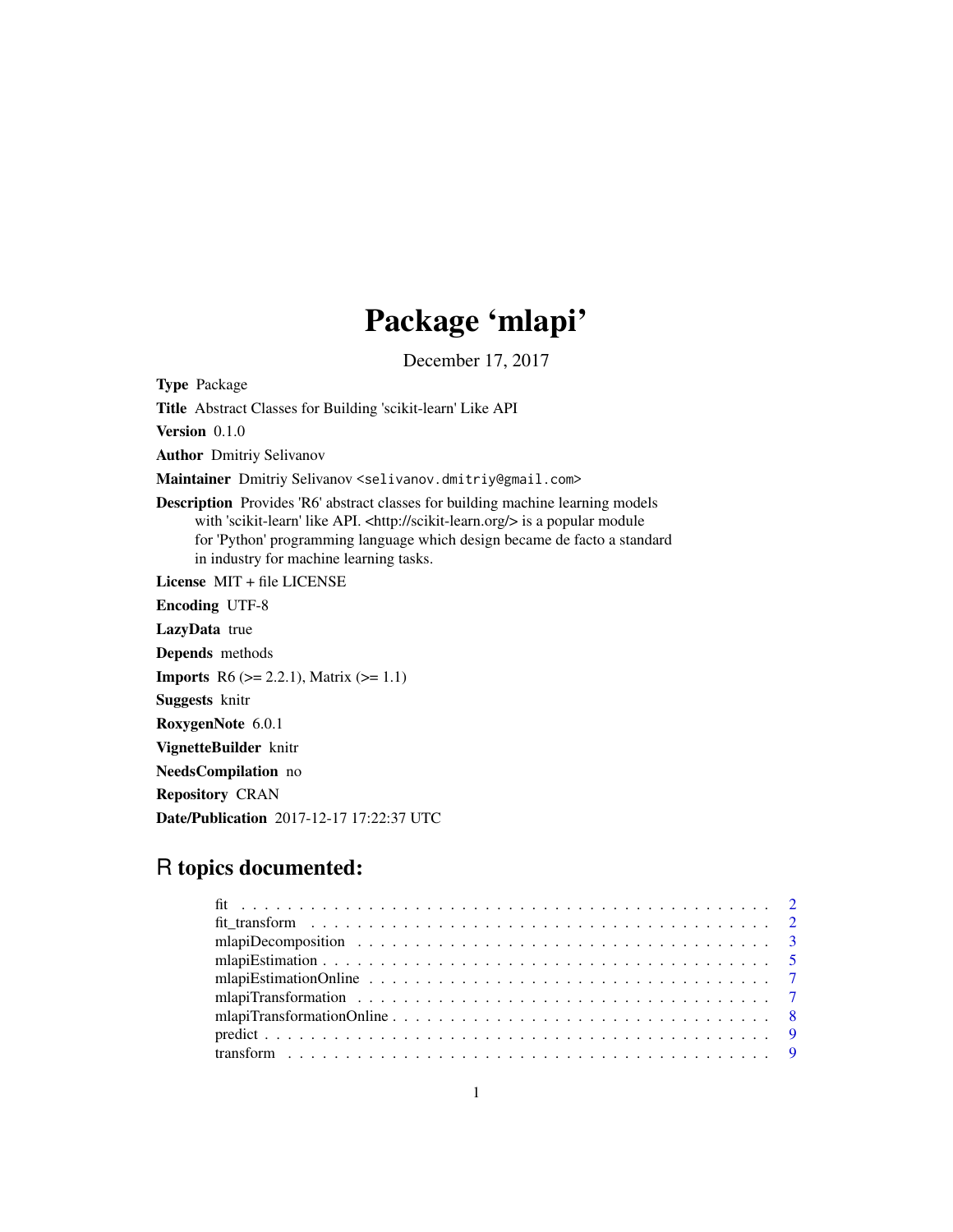## Package 'mlapi'

December 17, 2017

Type Package

Title Abstract Classes for Building 'scikit-learn' Like API

Version 0.1.0

Author Dmitriy Selivanov

Maintainer Dmitriy Selivanov <selivanov.dmitriy@gmail.com>

Description Provides 'R6' abstract classes for building machine learning models with 'scikit-learn' like API. <http://scikit-learn.org/> is a popular module for 'Python' programming language which design became de facto a standard in industry for machine learning tasks.

License MIT + file LICENSE

Encoding UTF-8

LazyData true

Depends methods

**Imports** R6 ( $>= 2.2.1$ ), Matrix ( $>= 1.1$ )

Suggests knitr

RoxygenNote 6.0.1

VignetteBuilder knitr

NeedsCompilation no

Repository CRAN

Date/Publication 2017-12-17 17:22:37 UTC

### R topics documented: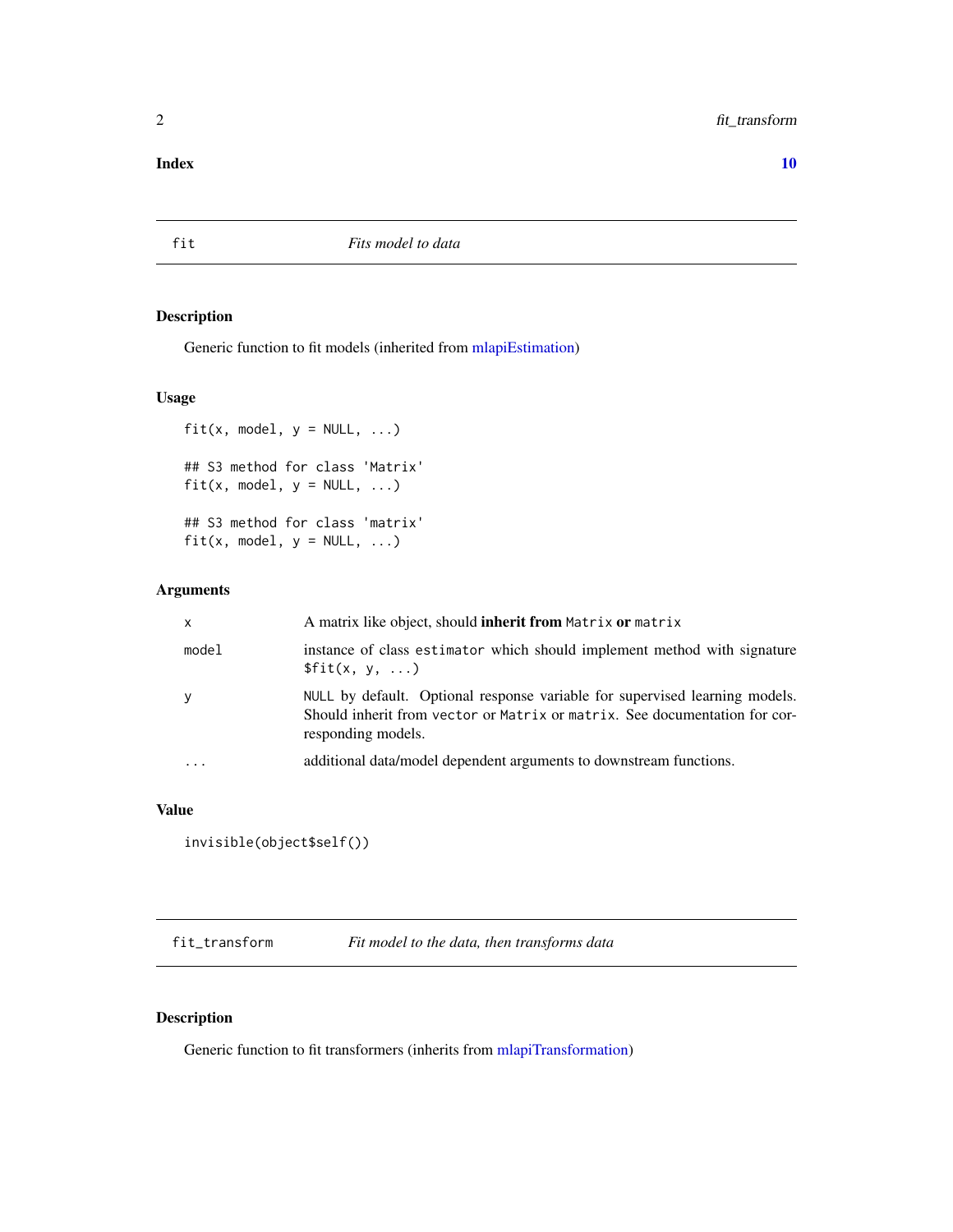#### <span id="page-1-0"></span>2 fit\_transform

#### $\blacksquare$

fit *Fits model to data*

#### Description

Generic function to fit models (inherited from [mlapiEstimation\)](#page-4-1)

#### Usage

```
fit(x, model, y = NULL, ...)
## S3 method for class 'Matrix'
fit(x, model, y = NULL, ...)
## S3 method for class 'matrix'
fit(x, model, y = NULL, ...)
```
#### Arguments

| $\mathsf{x}$         | A matrix like object, should <b>inherit from</b> Matrix <b>or</b> matrix                                                                                                        |
|----------------------|---------------------------------------------------------------------------------------------------------------------------------------------------------------------------------|
| model                | instance of class estimator which should implement method with signature<br>$$fit(x, y, \ldots)$                                                                                |
| y                    | NULL by default. Optional response variable for supervised learning models.<br>Should inherit from vector or Matrix or matrix. See documentation for cor-<br>responding models. |
| $\ddot{\phantom{0}}$ | additional data/model dependent arguments to downstream functions.                                                                                                              |

#### Value

```
invisible(object$self())
```
fit\_transform *Fit model to the data, then transforms data*

#### Description

Generic function to fit transformers (inherits from [mlapiTransformation\)](#page-6-1)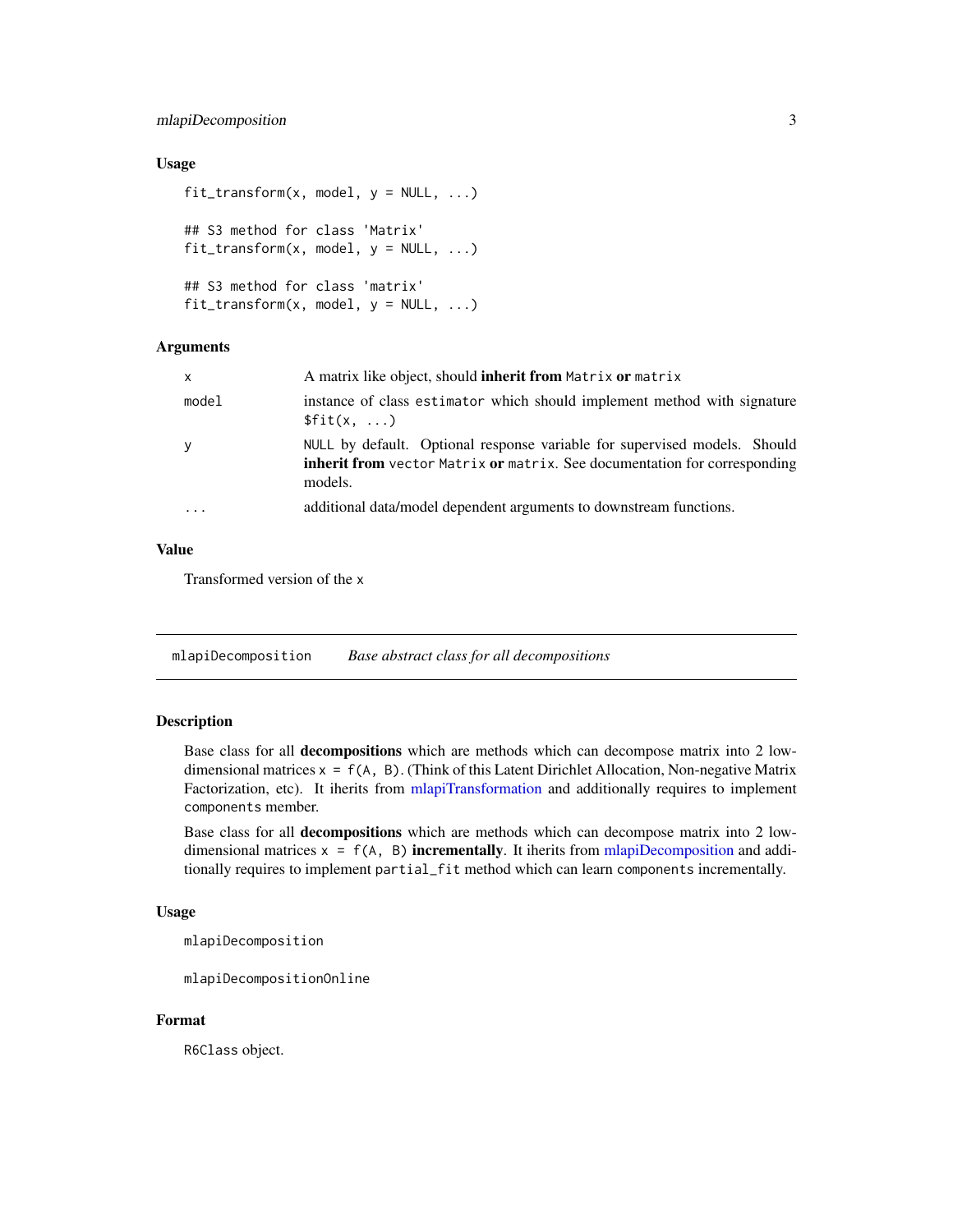#### <span id="page-2-0"></span>mlapiDecomposition 3

#### Usage

```
fit_{transform}(x, model, y = NULL, ...)## S3 method for class 'Matrix'
fit\_transform(x, model, y = NULL, ...)## S3 method for class 'matrix'
fit_{transform}(x, model, y = NULL, ...)
```
#### Arguments

| $\mathsf{x}$            | A matrix like object, should <b>inherit from</b> Matrix <b>or</b> matrix                                                                                                 |
|-------------------------|--------------------------------------------------------------------------------------------------------------------------------------------------------------------------|
| model                   | instance of class estimator which should implement method with signature<br>$$fit(x, \ldots)$                                                                            |
| y                       | NULL by default. Optional response variable for supervised models. Should<br><b>inherit from</b> vector Matrix or matrix. See documentation for corresponding<br>models. |
| $\cdot$ $\cdot$ $\cdot$ | additional data/model dependent arguments to downstream functions.                                                                                                       |

#### Value

Transformed version of the x

<span id="page-2-1"></span>mlapiDecomposition *Base abstract class for all decompositions*

#### Description

Base class for all decompositions which are methods which can decompose matrix into 2 lowdimensional matrices  $x = f(A, B)$ . (Think of this Latent Dirichlet Allocation, Non-negative Matrix Factorization, etc). It iherits from [mlapiTransformation](#page-6-1) and additionally requires to implement components member.

Base class for all decompositions which are methods which can decompose matrix into 2 lowdimensional matrices  $x = f(A, B)$  incrementally. It iherits from [mlapiDecomposition](#page-2-1) and additionally requires to implement partial\_fit method which can learn components incrementally.

#### Usage

mlapiDecomposition

mlapiDecompositionOnline

#### Format

R6Class object.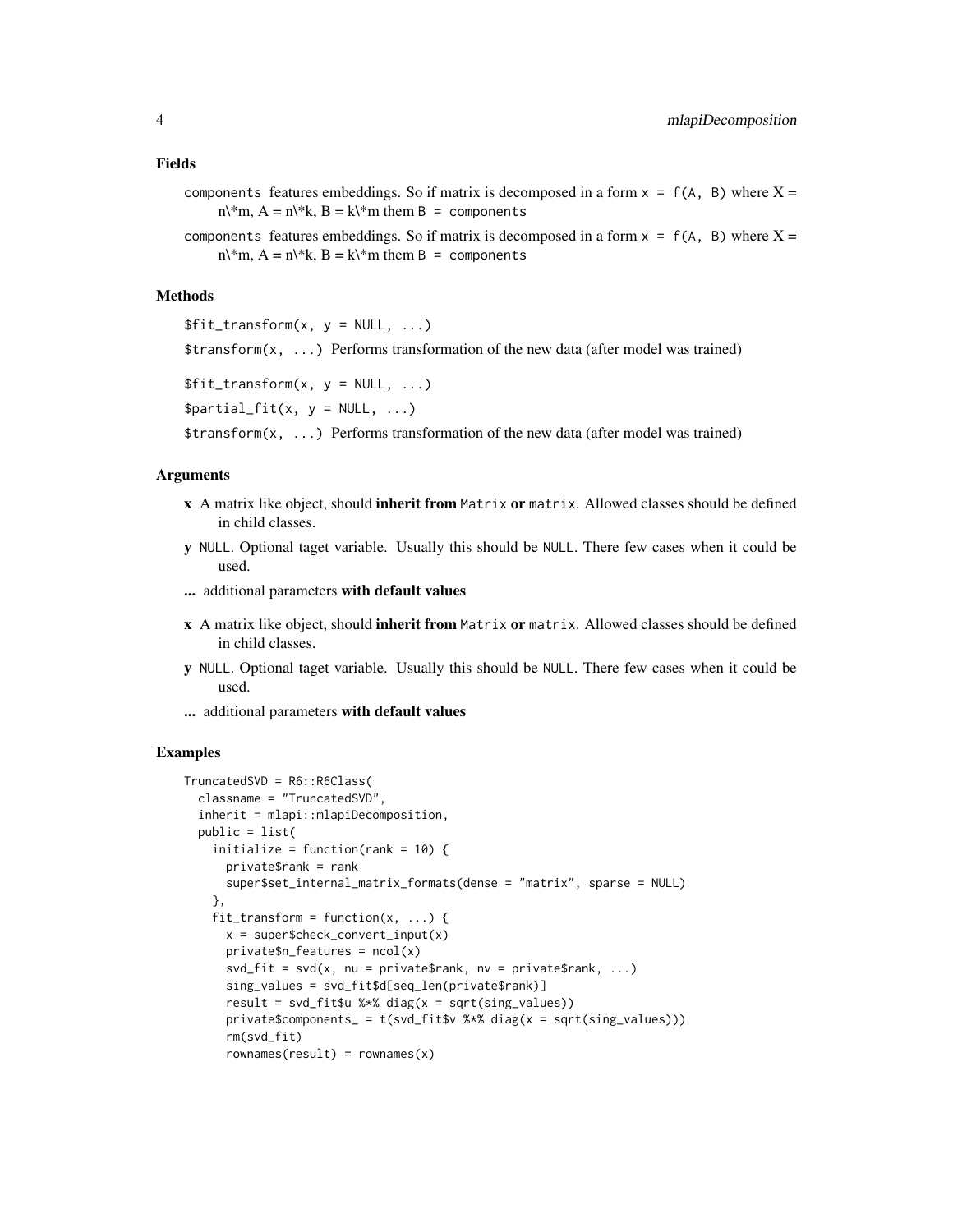#### Fields

- components features embeddings. So if matrix is decomposed in a form  $x = f(A, B)$  where  $X =$  $n\$ \*m,  $A = n\$ \*k,  $B = k\$ \*m them  $B =$  components
- components features embeddings. So if matrix is decomposed in a form  $x = f(A, B)$  where  $X = f(B)$  $n\$ \*m,  $A = n\$ \*k,  $B = k\$ \*m them  $B =$  components

#### Methods

 $$fit_transform(x, y = NULL, ...)$ 

\$transform(x, ...) Performs transformation of the new data (after model was trained)

```
$fit_transform(x, y = NULL, ...)
```

```
$partial_fit(x, y = NULL, ...)
```
\$transform(x, ...) Performs transformation of the new data (after model was trained)

#### Arguments

- x A matrix like object, should inherit from Matrix or matrix. Allowed classes should be defined in child classes.
- y NULL. Optional taget variable. Usually this should be NULL. There few cases when it could be used.
- ... additional parameters with default values
- x A matrix like object, should inherit from Matrix or matrix. Allowed classes should be defined in child classes.
- y NULL. Optional taget variable. Usually this should be NULL. There few cases when it could be used.
- ... additional parameters with default values

#### Examples

```
TruncatedSVD = R6::R6Class(
 classname = "TruncatedSVD",
 inherit = mlapi::mlapiDecomposition,
 public = list(
   initialize = function(rank = 10) {
     private$rank = rank
     super$set_internal_matrix_formats(dense = "matrix", sparse = NULL)
   },
   fit\_transform = function(x, ...)x = super\private$n_features = ncol(x)svd_fit = svd(x, nu = private$rank, nv = private$rank, ...)sing_values = svd_fit$d[seq_len(private$rank)]
     result = svd_fit$u %*% diag(x = sqrt(sing_value s))private$components_ = t(svd_fit$v %*% diag(x = sqrt(sing_values)))
     rm(svd_fit)
     rownames(result) = rownames(x)
```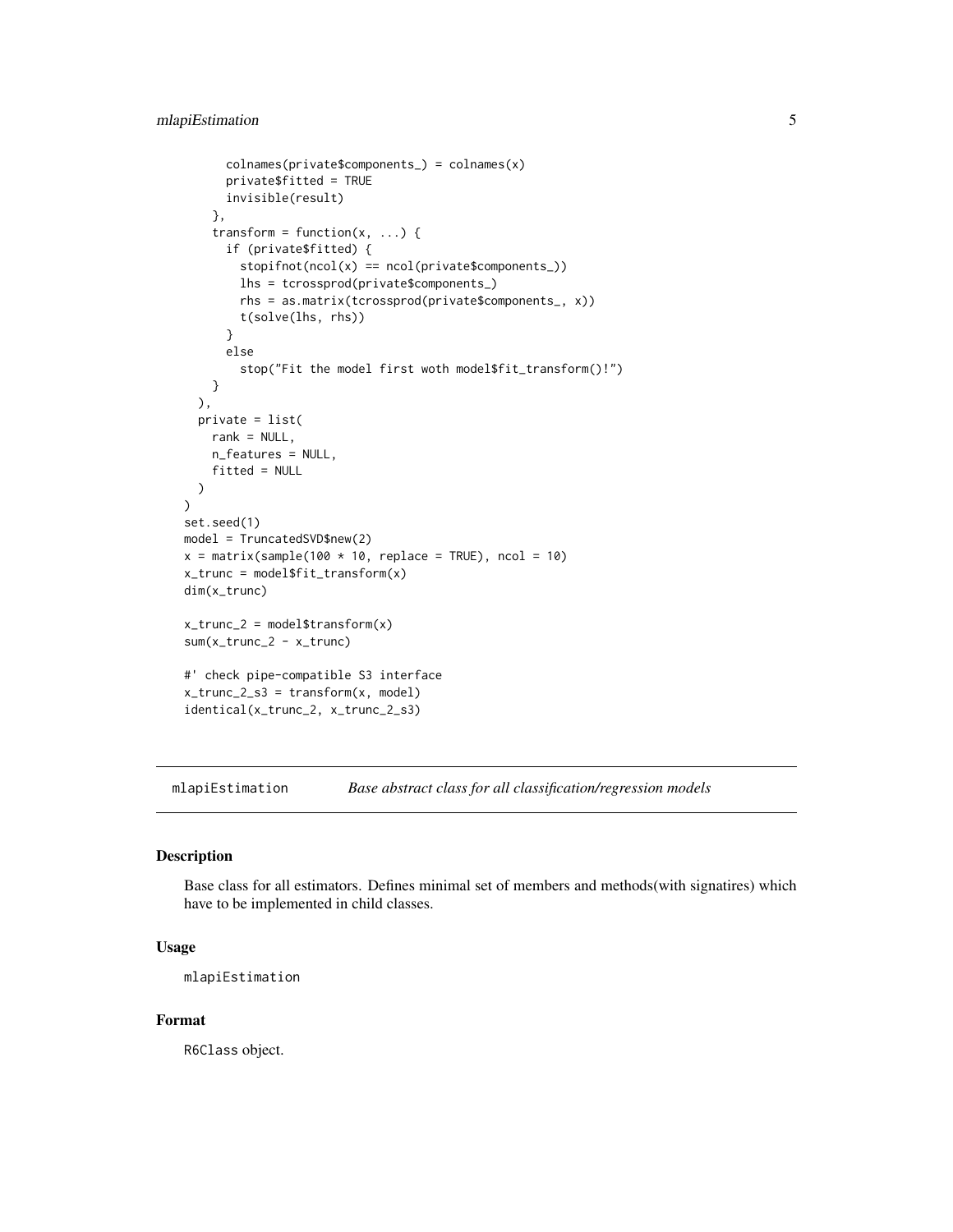```
colnames(private$components_) = colnames(x)
      private$fitted = TRUE
      invisible(result)
    },
    transform = function(x, \ldots) {
      if (private$fitted) {
        stopifnot(ncol(x) == ncol(private$components_))lhs = tcrossprod(private$components_)
        rhs = as.matrix(tcrossprod(private$components_, x))
        t(solve(lhs, rhs))
      }
      else
        stop("Fit the model first woth model$fit_transform()!")
    }
  ),
  private = list(
    rank = NULL,
    n_features = NULL,
    fitted = NULL
  )
)
set.seed(1)
model = TruncatedSVD$new(2)
x = matrix(sample(100 * 10, replace = TRUE), ncol = 10)x_trunc = model$fit_transform(x)
dim(x_trunc)
x_ttrunc<sub>-2</sub> = model$transform(x)
sum(x_trunc_2 - x_trunc)
#' check pipe-compatible S3 interface
x_trunc<sub>-2-s3</sub> = transform(x, model)
identical(x_trunc_2, x_trunc_2_s3)
```
<span id="page-4-1"></span>mlapiEstimation *Base abstract class for all classification/regression models*

#### Description

Base class for all estimators. Defines minimal set of members and methods(with signatires) which have to be implemented in child classes.

#### Usage

mlapiEstimation

#### Format

R6Class object.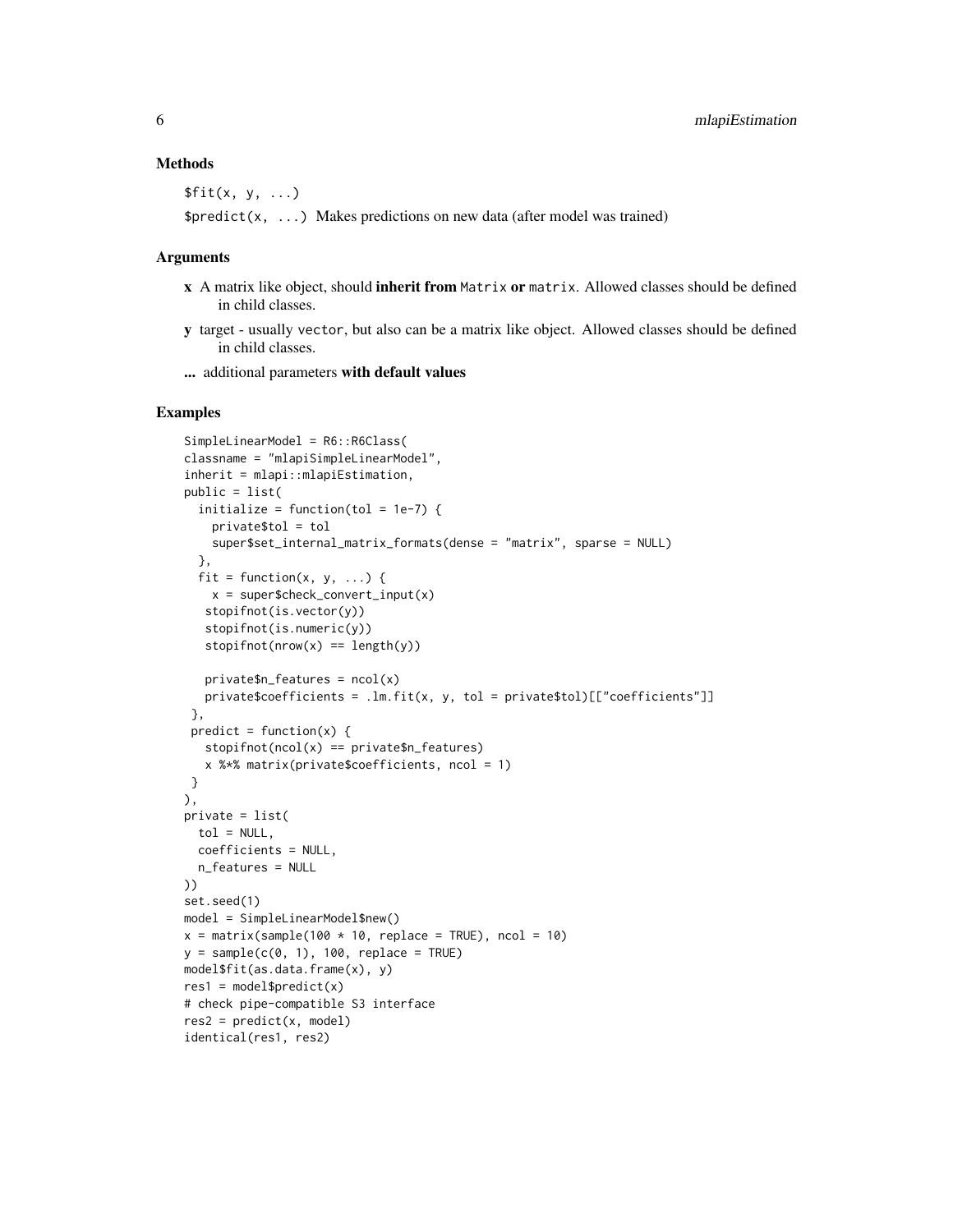#### Methods

 $$fit(x, y, \ldots)$ 

 $$predict(x, ...)$  Makes predictions on new data (after model was trained)

#### Arguments

- x A matrix like object, should inherit from Matrix or matrix. Allowed classes should be defined in child classes.
- y target usually vector, but also can be a matrix like object. Allowed classes should be defined in child classes.

... additional parameters with default values

#### Examples

```
SimpleLinearModel = R6::R6Class(
classname = "mlapiSimpleLinearModel",
inherit = mlapi::mlapiEstimation,
public = list(
 initialize = function(tol = 1e-7) {
   private$tol = tol
   super$set_internal_matrix_formats(dense = "matrix", sparse = NULL)
 },
 fit = function(x, y, ...) {
   x = super\stopifnot(is.vector(y))
   stopifnot(is.numeric(y))
  stopifnot(nrow(x) == length(y))private$n_features = ncol(x)private$coefficients = .lm.fit(x, y, tol = private$tol)[["coefficients"]]
 },
predict = function(x) {
  stopifnot(ncol(x) == private\$n_features)x %*% matrix(private$coefficients, ncol = 1)
}
),
private = list(
 tol = NULL,coefficients = NULL,
 n_features = NULL
))
set.seed(1)
model = SimpleLinearModel$new()
x = matrix(sample(100 * 10, replace = TRUE), ncol = 10)y = sample(c(0, 1), 100, replace = TRUE)model$fit(as.data.frame(x), y)
res1 = model$predict(x)# check pipe-compatible S3 interface
res2 = predict(x, model)identical(res1, res2)
```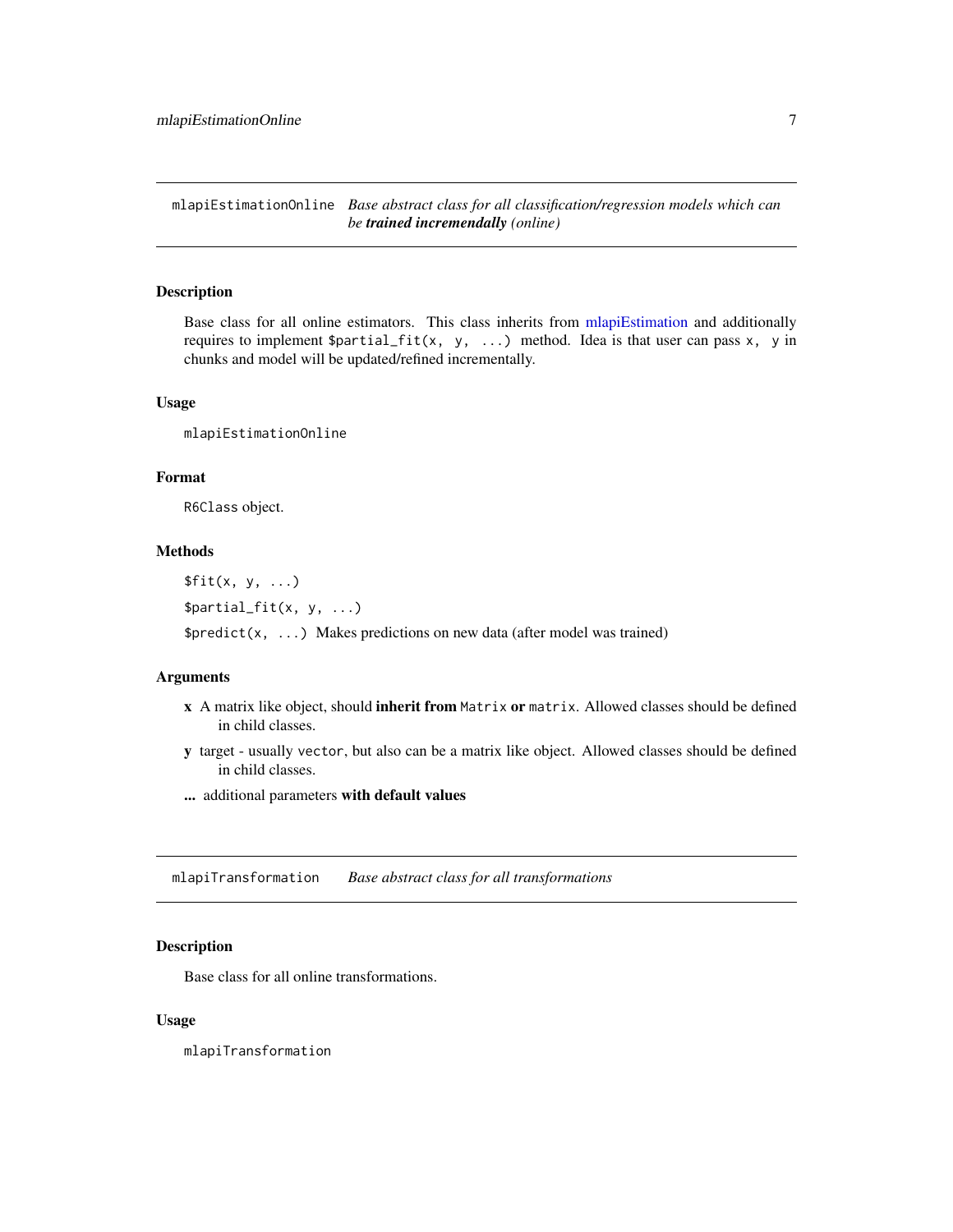<span id="page-6-0"></span>mlapiEstimationOnline *Base abstract class for all classification/regression models which can be trained incremendally (online)*

#### Description

Base class for all online estimators. This class inherits from [mlapiEstimation](#page-4-1) and additionally requires to implement  $\partial_i f_i(t(x, y, \ldots))$  method. Idea is that user can pass x, y in chunks and model will be updated/refined incrementally.

#### Usage

mlapiEstimationOnline

#### Format

R6Class object.

#### Methods

 $$fit(x, y, ...)$ \$partial\_fit(x, y, ...)

 $$predict(x, ...)$  Makes predictions on new data (after model was trained)

#### Arguments

- x A matrix like object, should inherit from Matrix or matrix. Allowed classes should be defined in child classes.
- y target usually vector, but also can be a matrix like object. Allowed classes should be defined in child classes.
- ... additional parameters with default values

<span id="page-6-1"></span>mlapiTransformation *Base abstract class for all transformations*

#### Description

Base class for all online transformations.

#### Usage

mlapiTransformation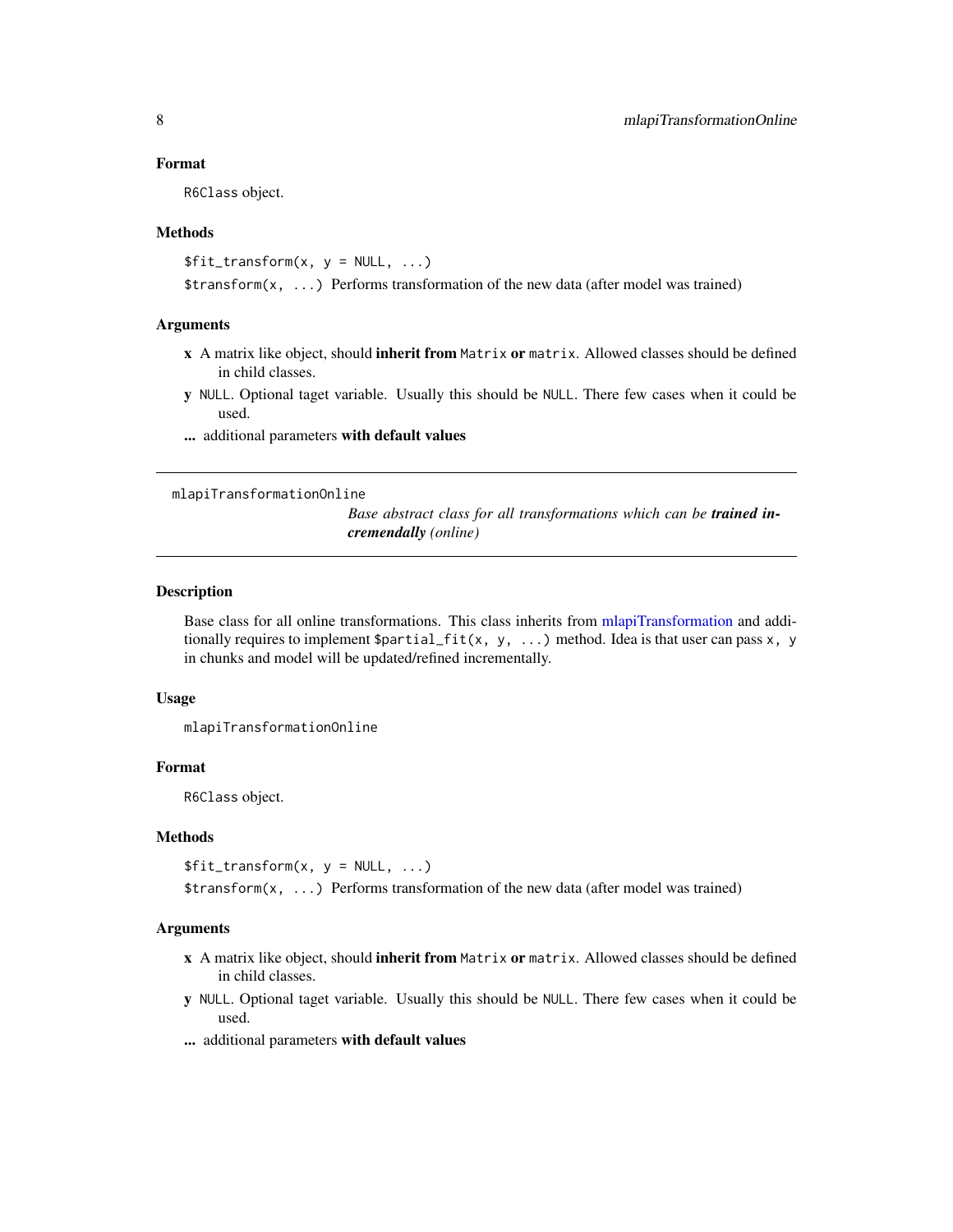#### Format

R6Class object.

#### Methods

```
$fit_transform(x, y = NULL, ...)$transform(x, ...) Performs transformation of the new data (after model was trained)
```
#### Arguments

- x A matrix like object, should inherit from Matrix or matrix. Allowed classes should be defined in child classes.
- y NULL. Optional taget variable. Usually this should be NULL. There few cases when it could be used.
- ... additional parameters with default values

mlapiTransformationOnline

*Base abstract class for all transformations which can be trained incremendally (online)*

#### Description

Base class for all online transformations. This class inherits from [mlapiTransformation](#page-6-1) and additionally requires to implement  $\partial_i f(t(x, y, \ldots))$  method. Idea is that user can pass x, y in chunks and model will be updated/refined incrementally.

#### Usage

mlapiTransformationOnline

#### Format

R6Class object.

#### Methods

```
$fit_transform(x, y = NULL, ...)
```
\$transform(x, ...) Performs transformation of the new data (after model was trained)

#### Arguments

- x A matrix like object, should inherit from Matrix or matrix. Allowed classes should be defined in child classes.
- y NULL. Optional taget variable. Usually this should be NULL. There few cases when it could be used.
- ... additional parameters with default values

<span id="page-7-0"></span>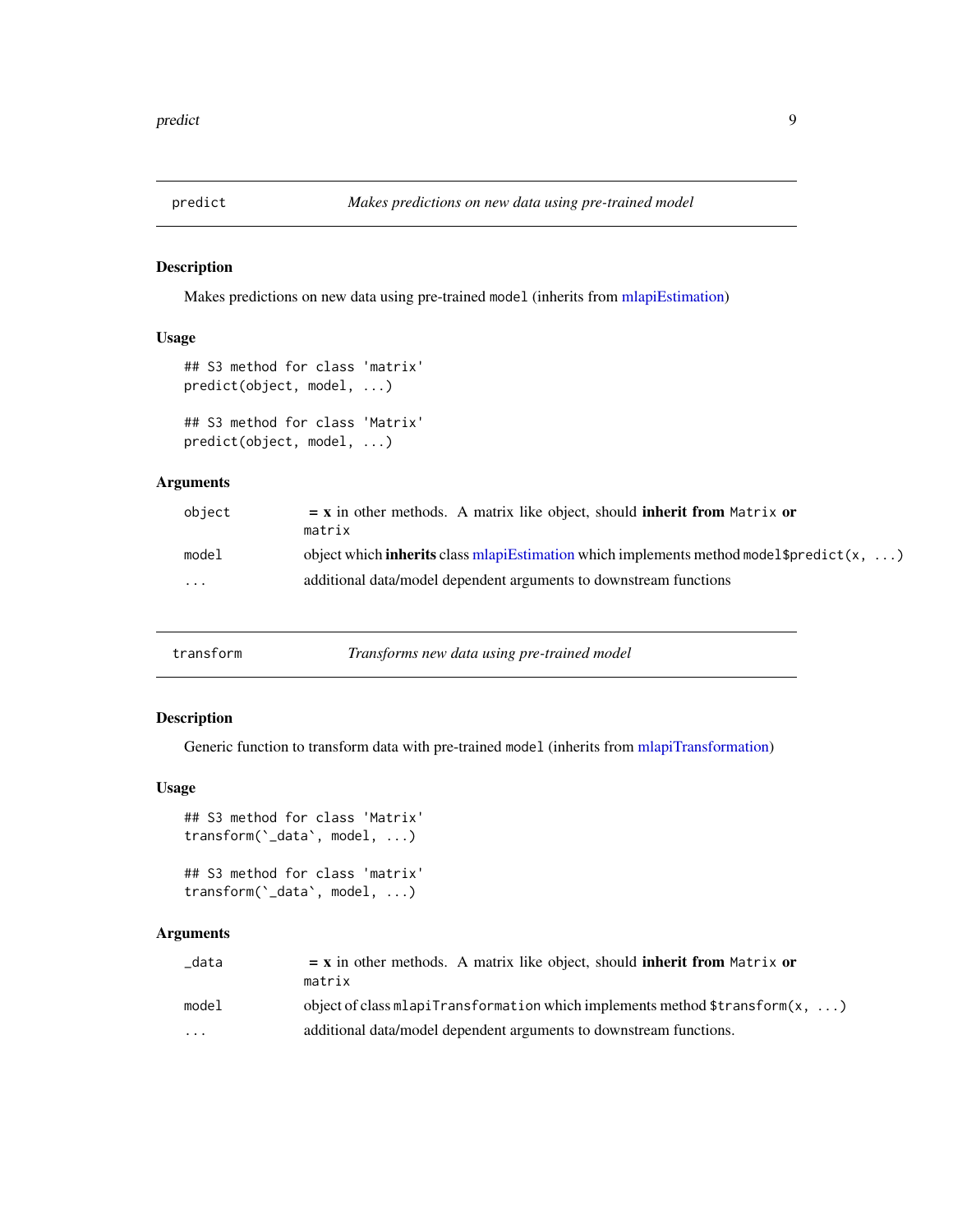<span id="page-8-0"></span>

#### Description

Makes predictions on new data using pre-trained model (inherits from [mlapiEstimation\)](#page-4-1)

#### Usage

```
## S3 method for class 'matrix'
predict(object, model, ...)
## S3 method for class 'Matrix'
predict(object, model, ...)
```
#### Arguments

| object                  | $=$ x in other methods. A matrix like object, should inherit from Matrix or                                   |
|-------------------------|---------------------------------------------------------------------------------------------------------------|
|                         | matrix                                                                                                        |
| model                   | object which <b>inherits</b> class mlapiEstimation which implements method model $\text{spredict}(x, \ldots)$ |
| $\cdot$ $\cdot$ $\cdot$ | additional data/model dependent arguments to downstream functions                                             |

| transform | Transforms new data using pre-trained model |
|-----------|---------------------------------------------|
|-----------|---------------------------------------------|

#### Description

Generic function to transform data with pre-trained model (inherits from [mlapiTransformation\)](#page-6-1)

#### Usage

```
## S3 method for class 'Matrix'
transform(`_data`, model, ...)
```

```
## S3 method for class 'matrix'
transform(`_data`, model, ...)
```
#### Arguments

| data  | $=$ x in other methods. A matrix like object, should <b>inherit from</b> Matrix or            |  |
|-------|-----------------------------------------------------------------------------------------------|--|
|       | matrix                                                                                        |  |
| model | object of class mlapiTransformation which implements method $\frac{t}{t}$ and $\frac{x}{t}$ ) |  |
| .     | additional data/model dependent arguments to downstream functions.                            |  |